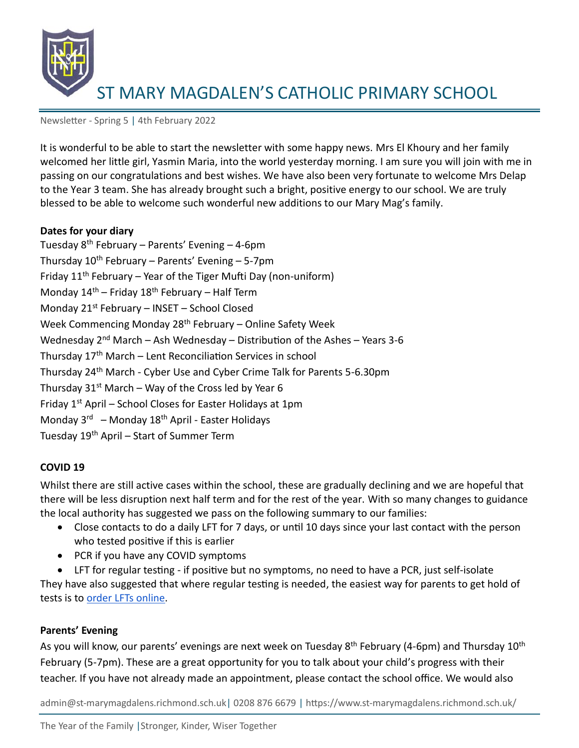

Newsletter - Spring 5 | 4th February 2022

It is wonderful to be able to start the newsletter with some happy news. Mrs El Khoury and her family welcomed her little girl, Yasmin Maria, into the world yesterday morning. I am sure you will join with me in passing on our congratulations and best wishes. We have also been very fortunate to welcome Mrs Delap to the Year 3 team. She has already brought such a bright, positive energy to our school. We are truly blessed to be able to welcome such wonderful new additions to our Mary Mag's family.

### **Dates for your diary**

Tuesday  $8^{th}$  February – Parents' Evening – 4-6pm Thursday  $10^{th}$  February – Parents' Evening – 5-7pm Friday  $11<sup>th</sup>$  February – Year of the Tiger Mufti Day (non-uniform) Monday  $14<sup>th</sup>$  – Friday  $18<sup>th</sup>$  February – Half Term Monday  $21^{st}$  February – INSET – School Closed Week Commencing Monday  $28<sup>th</sup>$  February – Online Safety Week Wednesday  $2^{nd}$  March – Ash Wednesday – Distribution of the Ashes – Years 3-6 Thursday 17<sup>th</sup> March – Lent Reconciliation Services in school Thursday 24th March - Cyber Use and Cyber Crime Talk for Parents 5-6.30pm Thursday  $31^{st}$  March – Way of the Cross led by Year 6 Friday  $1<sup>st</sup>$  April – School Closes for Easter Holidays at 1pm Monday 3<sup>rd</sup> – Monday 18<sup>th</sup> April - Easter Holidays Tuesday 19<sup>th</sup> April – Start of Summer Term

### **COVID 19**

Whilst there are still active cases within the school, these are gradually declining and we are hopeful that there will be less disruption next half term and for the rest of the year. With so many changes to guidance the local authority has suggested we pass on the following summary to our families:

- Close contacts to do a daily LFT for 7 days, or until 10 days since your last contact with the person who tested positive if this is earlier
- PCR if you have any COVID symptoms

• LFT for regular testing - if positive but no symptoms, no need to have a PCR, just self-isolate They have also suggested that where regular testing is needed, the easiest way for parents to get hold of tests is to [order LFTs online.](https://www.gov.uk/order-coronavirus-rapid-lateral-flow-tests)

### **Parents' Evening**

As you will know, our parents' evenings are next week on Tuesday 8<sup>th</sup> February (4-6pm) and Thursday 10<sup>th</sup> February (5-7pm). These are a great opportunity for you to talk about your child's progress with their teacher. If you have not already made an appointment, please contact the school office. We would also

admin@st-marymagdalens.richmond.sch.uk| 0208 876 6679 | https://www.st-marymagdalens.richmond.sch.uk/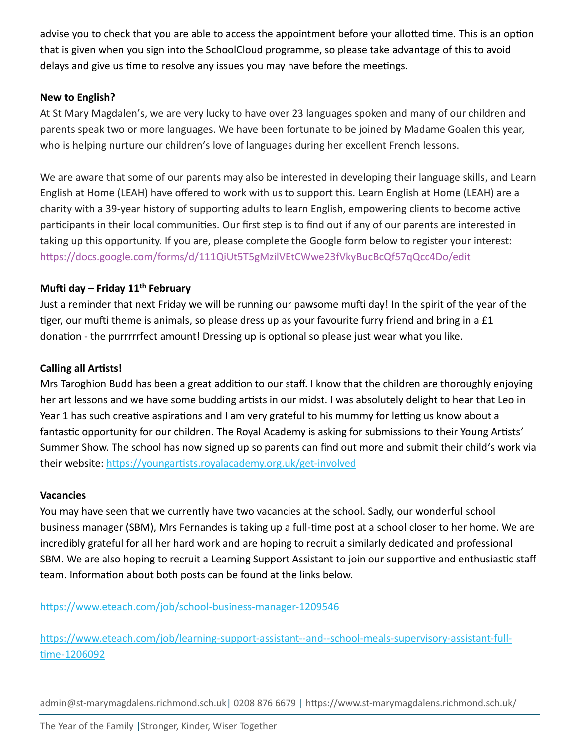advise you to check that you are able to access the appointment before your allotted time. This is an option that is given when you sign into the SchoolCloud programme, so please take advantage of this to avoid delays and give us time to resolve any issues you may have before the meetings.

## **New to English?**

At St Mary Magdalen's, we are very lucky to have over 23 languages spoken and many of our children and parents speak two or more languages. We have been fortunate to be joined by Madame Goalen this year, who is helping nurture our children's love of languages during her excellent French lessons.

We are aware that some of our parents may also be interested in developing their language skills, and Learn English at Home (LEAH) have offered to work with us to support this. Learn English at Home (LEAH) are a charity with a 39-year history of supporting adults to learn English, empowering clients to become active participants in their local communities. Our first step is to find out if any of our parents are interested in taking up this opportunity. If you are, please complete the Google form below to register your interest: <https://docs.google.com/forms/d/111QiUt5T5gMzilVEtCWwe23fVkyBucBcQf57qQcc4Do/edit>

# **Mufti day – Friday 11 th February**

Just a reminder that next Friday we will be running our pawsome mufti day! In the spirit of the year of the tiger, our mufti theme is animals, so please dress up as your favourite furry friend and bring in a £1 donation - the purrrrrfect amount! Dressing up is optional so please just wear what you like.

## **Calling all Artists!**

Mrs Taroghion Budd has been a great addition to our staff. I know that the children are thoroughly enjoying her art lessons and we have some budding artists in our midst. I was absolutely delight to hear that Leo in Year 1 has such creative aspirations and I am very grateful to his mummy for letting us know about a fantastic opportunity for our children. The Royal Academy is asking for submissions to their Young Artists' Summer Show. The school has now signed up so parents can find out more and submit their child's work via their website:<https://youngartists.royalacademy.org.uk/get-involved>

## **Vacancies**

You may have seen that we currently have two vacancies at the school. Sadly, our wonderful school business manager (SBM), Mrs Fernandes is taking up a full-time post at a school closer to her home. We are incredibly grateful for all her hard work and are hoping to recruit a similarly dedicated and professional SBM. We are also hoping to recruit a Learning Support Assistant to join our supportive and enthusiastic staff team. Information about both posts can be found at the links below.

# <https://www.eteach.com/job/school-business-manager-1209546>

[https://www.eteach.com/job/learning-support-assistant--and--school-meals-supervisory-assistant-full](https://www.eteach.com/job/learning-support-assistant--and--school-meals-supervisory-assistant-full-time-1206092)[time-1206092](https://www.eteach.com/job/learning-support-assistant--and--school-meals-supervisory-assistant-full-time-1206092)

admin@st-marymagdalens.richmond.sch.uk| 0208 876 6679 | https://www.st-marymagdalens.richmond.sch.uk/